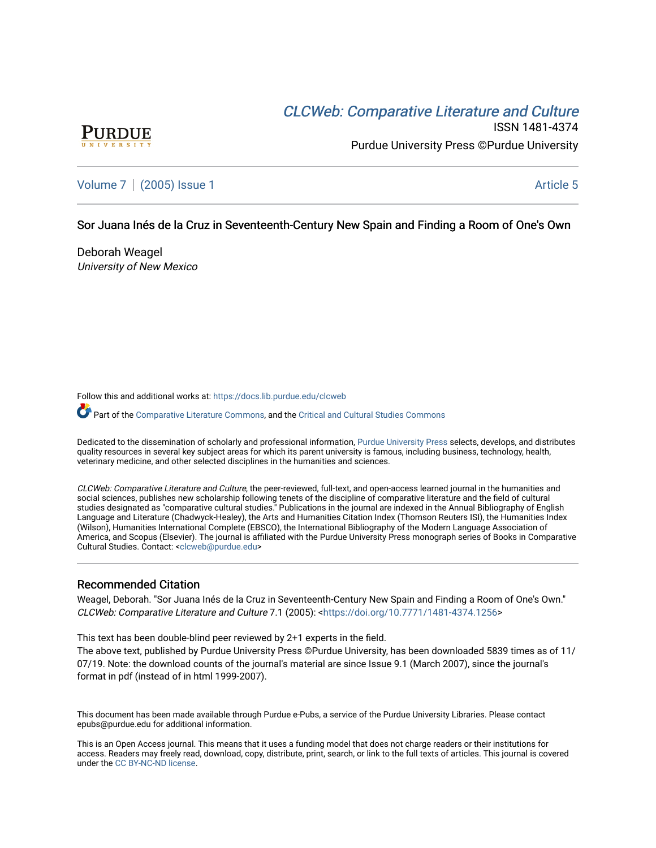# CLCW[eb: Comparative Liter](https://docs.lib.purdue.edu/clcweb)ature and Culture



ISSN 1481-4374 Purdue University Press ©Purdue University

[Volume 7](https://docs.lib.purdue.edu/clcweb/vol7) | [\(2005\) Issue 1](https://docs.lib.purdue.edu/clcweb/vol7/iss1) Article 5

## Sor Juana Inés de la Cruz in Seventeenth-Century New Spain and Finding a Room of One's Own

Deborah Weagel University of New Mexico

Follow this and additional works at: [https://docs.lib.purdue.edu/clcweb](https://docs.lib.purdue.edu/clcweb?utm_source=docs.lib.purdue.edu%2Fclcweb%2Fvol7%2Fiss1%2F5&utm_medium=PDF&utm_campaign=PDFCoverPages)

Part of the [Comparative Literature Commons,](http://network.bepress.com/hgg/discipline/454?utm_source=docs.lib.purdue.edu%2Fclcweb%2Fvol7%2Fiss1%2F5&utm_medium=PDF&utm_campaign=PDFCoverPages) and the Critical and Cultural Studies Commons

Dedicated to the dissemination of scholarly and professional information, [Purdue University Press](http://www.thepress.purdue.edu/) selects, develops, and distributes quality resources in several key subject areas for which its parent university is famous, including business, technology, health, veterinary medicine, and other selected disciplines in the humanities and sciences.

CLCWeb: Comparative Literature and Culture, the peer-reviewed, full-text, and open-access learned journal in the humanities and social sciences, publishes new scholarship following tenets of the discipline of comparative literature and the field of cultural studies designated as "comparative cultural studies." Publications in the journal are indexed in the Annual Bibliography of English Language and Literature (Chadwyck-Healey), the Arts and Humanities Citation Index (Thomson Reuters ISI), the Humanities Index (Wilson), Humanities International Complete (EBSCO), the International Bibliography of the Modern Language Association of America, and Scopus (Elsevier). The journal is affiliated with the Purdue University Press monograph series of Books in Comparative Cultural Studies. Contact: [<clcweb@purdue.edu](mailto:clcweb@purdue.edu)>

#### Recommended Citation

Weagel, Deborah. "Sor Juana Inés de la Cruz in Seventeenth-Century New Spain and Finding a Room of One's Own." CLCWeb: Comparative Literature and Culture 7.1 (2005): <[https://doi.org/10.7771/1481-4374.1256>](https://doi.org/10.7771/1481-4374.1256)

This text has been double-blind peer reviewed by 2+1 experts in the field.

The above text, published by Purdue University Press ©Purdue University, has been downloaded 5839 times as of 11/ 07/19. Note: the download counts of the journal's material are since Issue 9.1 (March 2007), since the journal's format in pdf (instead of in html 1999-2007).

This document has been made available through Purdue e-Pubs, a service of the Purdue University Libraries. Please contact epubs@purdue.edu for additional information.

This is an Open Access journal. This means that it uses a funding model that does not charge readers or their institutions for access. Readers may freely read, download, copy, distribute, print, search, or link to the full texts of articles. This journal is covered under the [CC BY-NC-ND license.](https://creativecommons.org/licenses/by-nc-nd/4.0/)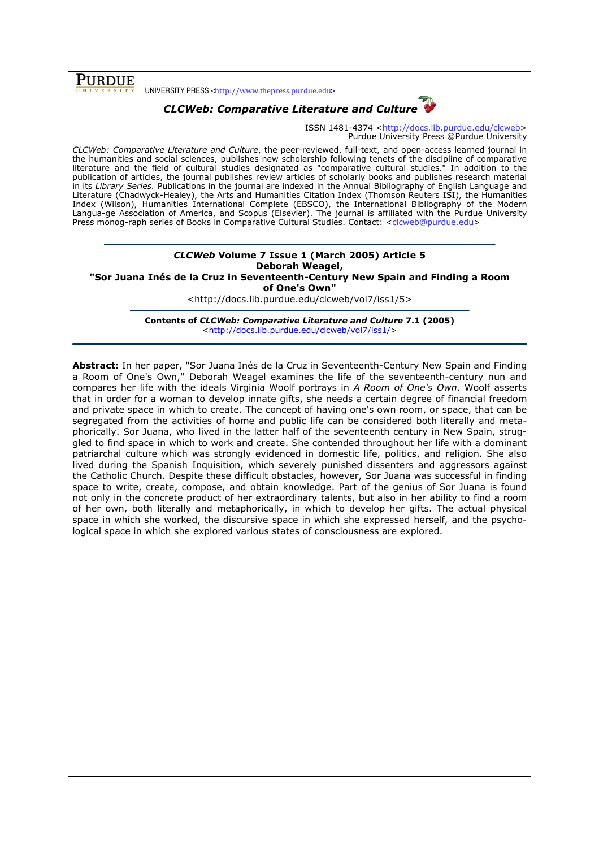## PURDUE

UNIVERSITY PRESS <http://www.thepress.purdue.edu>



ISSN 1481-4374 <http://docs.lib.purdue.edu/clcweb> Purdue University Press ©Purdue University

CLCWeb: Comparative Literature and Culture, the peer-reviewed, full-text, and open-access learned journal in the humanities and social sciences, publishes new scholarship following tenets of the discipline of comparative literature and the field of cultural studies designated as "comparative cultural studies." In addition to the publication of articles, the journal publishes review articles of scholarly books and publishes research material in its Library Series. Publications in the journal are indexed in the Annual Bibliography of English Language and Literature (Chadwyck-Healey), the Arts and Humanities Citation Index (Thomson Reuters ISI), the Humanities Index (Wilson), Humanities International Complete (EBSCO), the International Bibliography of the Modern Langua-ge Association of America, and Scopus (Elsevier). The journal is affiliated with the Purdue University Press monog-raph series of Books in Comparative Cultural Studies. Contact: <clcweb@purdue.edu>

### CLCWeb Volume 7 Issue 1 (March 2005) Article 5 Deborah Weagel,

"Sor Juana Inés de la Cruz in Seventeenth-Century New Spain and Finding a Room of One's Own"

<http://docs.lib.purdue.edu/clcweb/vol7/iss1/5>

Contents of CLCWeb: Comparative Literature and Culture 7.1 (2005) <http://docs.lib.purdue.edu/clcweb/vol7/iss1/>

Abstract: In her paper, "Sor Juana Inés de la Cruz in Seventeenth-Century New Spain and Finding a Room of One's Own," Deborah Weagel examines the life of the seventeenth-century nun and compares her life with the ideals Virginia Woolf portrays in A Room of One's Own. Woolf asserts that in order for a woman to develop innate gifts, she needs a certain degree of financial freedom and private space in which to create. The concept of having one's own room, or space, that can be segregated from the activities of home and public life can be considered both literally and metaphorically. Sor Juana, who lived in the latter half of the seventeenth century in New Spain, struggled to find space in which to work and create. She contended throughout her life with a dominant patriarchal culture which was strongly evidenced in domestic life, politics, and religion. She also lived during the Spanish Inquisition, which severely punished dissenters and aggressors against the Catholic Church. Despite these difficult obstacles, however, Sor Juana was successful in finding space to write, create, compose, and obtain knowledge. Part of the genius of Sor Juana is found not only in the concrete product of her extraordinary talents, but also in her ability to find a room of her own, both literally and metaphorically, in which to develop her gifts. The actual physical space in which she worked, the discursive space in which she expressed herself, and the psychological space in which she explored various states of consciousness are explored.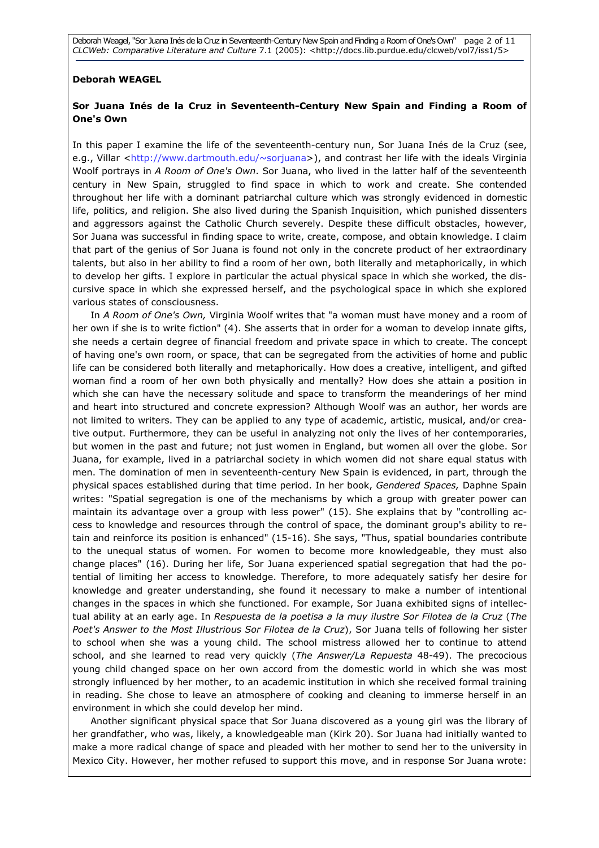Deborah Weagel, "Sor Juana Inés de la Cruz in Seventeenth-Century New Spain and Finding a Room of One's Own" page 2 of 11 CLCWeb: Comparative Literature and Culture 7.1 (2005): <http://docs.lib.purdue.edu/clcweb/vol7/iss1/5>

#### Deborah WEAGEL

#### Sor Juana Inés de la Cruz in Seventeenth-Century New Spain and Finding a Room of One's Own

In this paper I examine the life of the seventeenth-century nun, Sor Juana Inés de la Cruz (see, e.g., Villar <http://www.dartmouth.edu/~sorjuana>), and contrast her life with the ideals Virginia Woolf portrays in A Room of One's Own. Sor Juana, who lived in the latter half of the seventeenth century in New Spain, struggled to find space in which to work and create. She contended throughout her life with a dominant patriarchal culture which was strongly evidenced in domestic life, politics, and religion. She also lived during the Spanish Inquisition, which punished dissenters and aggressors against the Catholic Church severely. Despite these difficult obstacles, however, Sor Juana was successful in finding space to write, create, compose, and obtain knowledge. I claim that part of the genius of Sor Juana is found not only in the concrete product of her extraordinary talents, but also in her ability to find a room of her own, both literally and metaphorically, in which to develop her gifts. I explore in particular the actual physical space in which she worked, the discursive space in which she expressed herself, and the psychological space in which she explored various states of consciousness.

In A Room of One's Own, Virginia Woolf writes that "a woman must have money and a room of her own if she is to write fiction" (4). She asserts that in order for a woman to develop innate gifts, she needs a certain degree of financial freedom and private space in which to create. The concept of having one's own room, or space, that can be segregated from the activities of home and public life can be considered both literally and metaphorically. How does a creative, intelligent, and gifted woman find a room of her own both physically and mentally? How does she attain a position in which she can have the necessary solitude and space to transform the meanderings of her mind and heart into structured and concrete expression? Although Woolf was an author, her words are not limited to writers. They can be applied to any type of academic, artistic, musical, and/or creative output. Furthermore, they can be useful in analyzing not only the lives of her contemporaries, but women in the past and future; not just women in England, but women all over the globe. Sor Juana, for example, lived in a patriarchal society in which women did not share equal status with men. The domination of men in seventeenth-century New Spain is evidenced, in part, through the physical spaces established during that time period. In her book, Gendered Spaces, Daphne Spain writes: "Spatial segregation is one of the mechanisms by which a group with greater power can maintain its advantage over a group with less power" (15). She explains that by "controlling access to knowledge and resources through the control of space, the dominant group's ability to retain and reinforce its position is enhanced" (15-16). She says, "Thus, spatial boundaries contribute to the unequal status of women. For women to become more knowledgeable, they must also change places" (16). During her life, Sor Juana experienced spatial segregation that had the potential of limiting her access to knowledge. Therefore, to more adequately satisfy her desire for knowledge and greater understanding, she found it necessary to make a number of intentional changes in the spaces in which she functioned. For example, Sor Juana exhibited signs of intellectual ability at an early age. In Respuesta de la poetisa a la muy ilustre Sor Filotea de la Cruz (The Poet's Answer to the Most Illustrious Sor Filotea de la Cruz), Sor Juana tells of following her sister to school when she was a young child. The school mistress allowed her to continue to attend school, and she learned to read very quickly (The Answer/La Repuesta 48-49). The precocious young child changed space on her own accord from the domestic world in which she was most strongly influenced by her mother, to an academic institution in which she received formal training in reading. She chose to leave an atmosphere of cooking and cleaning to immerse herself in an environment in which she could develop her mind.

Another significant physical space that Sor Juana discovered as a young girl was the library of her grandfather, who was, likely, a knowledgeable man (Kirk 20). Sor Juana had initially wanted to make a more radical change of space and pleaded with her mother to send her to the university in Mexico City. However, her mother refused to support this move, and in response Sor Juana wrote: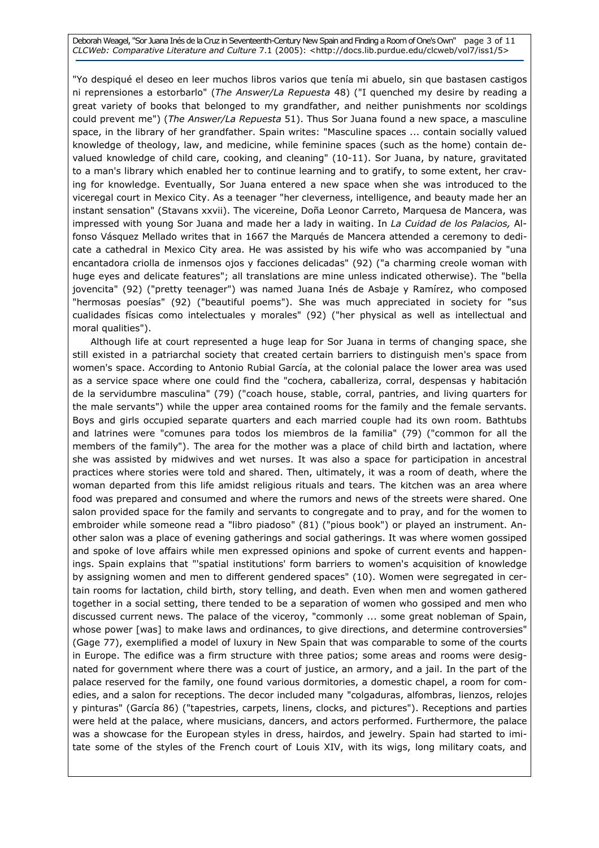Deborah Weagel, "Sor Juana Inés de la Cruz in Seventeenth-Century New Spain and Finding a Room of One's Own" page 3 of 11 CLCWeb: Comparative Literature and Culture 7.1 (2005): <http://docs.lib.purdue.edu/clcweb/vol7/iss1/5>

"Yo despiqué el deseo en leer muchos libros varios que tenía mi abuelo, sin que bastasen castigos ni reprensiones a estorbarlo" (The Answer/La Repuesta 48) ("I quenched my desire by reading a great variety of books that belonged to my grandfather, and neither punishments nor scoldings could prevent me") (The Answer/La Repuesta 51). Thus Sor Juana found a new space, a masculine space, in the library of her grandfather. Spain writes: "Masculine spaces ... contain socially valued knowledge of theology, law, and medicine, while feminine spaces (such as the home) contain devalued knowledge of child care, cooking, and cleaning" (10-11). Sor Juana, by nature, gravitated to a man's library which enabled her to continue learning and to gratify, to some extent, her craving for knowledge. Eventually, Sor Juana entered a new space when she was introduced to the viceregal court in Mexico City. As a teenager "her cleverness, intelligence, and beauty made her an instant sensation" (Stavans xxvii). The vicereine, Doña Leonor Carreto, Marquesa de Mancera, was impressed with young Sor Juana and made her a lady in waiting. In La Cuidad de los Palacios, Alfonso Vásquez Mellado writes that in 1667 the Marqués de Mancera attended a ceremony to dedicate a cathedral in Mexico City area. He was assisted by his wife who was accompanied by "una encantadora criolla de inmensos ojos y facciones delicadas" (92) ("a charming creole woman with huge eyes and delicate features"; all translations are mine unless indicated otherwise). The "bella jovencita" (92) ("pretty teenager") was named Juana Inés de Asbaje y Ramírez, who composed "hermosas poesías" (92) ("beautiful poems"). She was much appreciated in society for "sus cualidades físicas como intelectuales y morales" (92) ("her physical as well as intellectual and moral qualities").

Although life at court represented a huge leap for Sor Juana in terms of changing space, she still existed in a patriarchal society that created certain barriers to distinguish men's space from women's space. According to Antonio Rubial García, at the colonial palace the lower area was used as a service space where one could find the "cochera, caballeriza, corral, despensas y habitación de la servidumbre masculina" (79) ("coach house, stable, corral, pantries, and living quarters for the male servants") while the upper area contained rooms for the family and the female servants. Boys and girls occupied separate quarters and each married couple had its own room. Bathtubs and latrines were "comunes para todos los miembros de la familia" (79) ("common for all the members of the family"). The area for the mother was a place of child birth and lactation, where she was assisted by midwives and wet nurses. It was also a space for participation in ancestral practices where stories were told and shared. Then, ultimately, it was a room of death, where the woman departed from this life amidst religious rituals and tears. The kitchen was an area where food was prepared and consumed and where the rumors and news of the streets were shared. One salon provided space for the family and servants to congregate and to pray, and for the women to embroider while someone read a "libro piadoso" (81) ("pious book") or played an instrument. Another salon was a place of evening gatherings and social gatherings. It was where women gossiped and spoke of love affairs while men expressed opinions and spoke of current events and happenings. Spain explains that "'spatial institutions' form barriers to women's acquisition of knowledge by assigning women and men to different gendered spaces" (10). Women were segregated in certain rooms for lactation, child birth, story telling, and death. Even when men and women gathered together in a social setting, there tended to be a separation of women who gossiped and men who discussed current news. The palace of the viceroy, "commonly ... some great nobleman of Spain, whose power [was] to make laws and ordinances, to give directions, and determine controversies" (Gage 77), exemplified a model of luxury in New Spain that was comparable to some of the courts in Europe. The edifice was a firm structure with three patios; some areas and rooms were designated for government where there was a court of justice, an armory, and a jail. In the part of the palace reserved for the family, one found various dormitories, a domestic chapel, a room for comedies, and a salon for receptions. The decor included many "colgaduras, alfombras, lienzos, relojes y pinturas" (García 86) ("tapestries, carpets, linens, clocks, and pictures"). Receptions and parties were held at the palace, where musicians, dancers, and actors performed. Furthermore, the palace was a showcase for the European styles in dress, hairdos, and jewelry. Spain had started to imitate some of the styles of the French court of Louis XIV, with its wigs, long military coats, and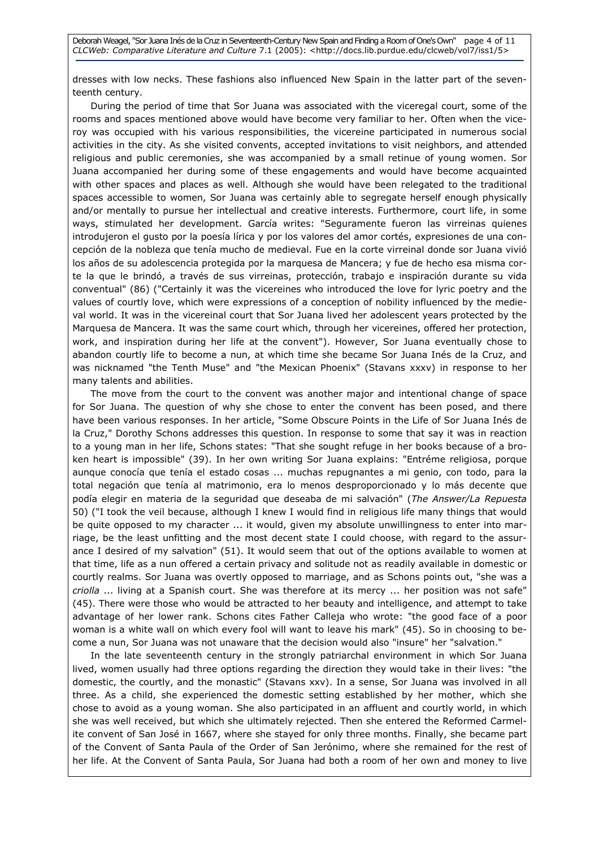dresses with low necks. These fashions also influenced New Spain in the latter part of the seventeenth century.

During the period of time that Sor Juana was associated with the viceregal court, some of the rooms and spaces mentioned above would have become very familiar to her. Often when the viceroy was occupied with his various responsibilities, the vicereine participated in numerous social activities in the city. As she visited convents, accepted invitations to visit neighbors, and attended religious and public ceremonies, she was accompanied by a small retinue of young women. Sor Juana accompanied her during some of these engagements and would have become acquainted with other spaces and places as well. Although she would have been relegated to the traditional spaces accessible to women, Sor Juana was certainly able to segregate herself enough physically and/or mentally to pursue her intellectual and creative interests. Furthermore, court life, in some ways, stimulated her development. García writes: "Seguramente fueron las virreinas quienes introdujeron el gusto por la poesía lírica y por los valores del amor cortés, expresiones de una concepción de la nobleza que tenía mucho de medieval. Fue en la corte virreinal donde sor Juana vivió los años de su adolescencia protegida por la marquesa de Mancera; y fue de hecho esa misma corte la que le brindó, a través de sus virreinas, protección, trabajo e inspiración durante su vida conventual" (86) ("Certainly it was the vicereines who introduced the love for lyric poetry and the values of courtly love, which were expressions of a conception of nobility influenced by the medieval world. It was in the vicereinal court that Sor Juana lived her adolescent years protected by the Marquesa de Mancera. It was the same court which, through her vicereines, offered her protection, work, and inspiration during her life at the convent"). However, Sor Juana eventually chose to abandon courtly life to become a nun, at which time she became Sor Juana Inés de la Cruz, and was nicknamed "the Tenth Muse" and "the Mexican Phoenix" (Stavans xxxv) in response to her many talents and abilities.

The move from the court to the convent was another major and intentional change of space for Sor Juana. The question of why she chose to enter the convent has been posed, and there have been various responses. In her article, "Some Obscure Points in the Life of Sor Juana Inés de la Cruz," Dorothy Schons addresses this question. In response to some that say it was in reaction to a young man in her life, Schons states: "That she sought refuge in her books because of a broken heart is impossible" (39). In her own writing Sor Juana explains: "Entréme religiosa, porque aunque conocía que tenía el estado cosas ... muchas repugnantes a mi genio, con todo, para la total negación que tenía al matrimonio, era lo menos desproporcionado y lo más decente que podía elegir en materia de la seguridad que deseaba de mi salvación" (The Answer/La Repuesta 50) ("I took the veil because, although I knew I would find in religious life many things that would be quite opposed to my character ... it would, given my absolute unwillingness to enter into marriage, be the least unfitting and the most decent state I could choose, with regard to the assurance I desired of my salvation" (51). It would seem that out of the options available to women at that time, life as a nun offered a certain privacy and solitude not as readily available in domestic or courtly realms. Sor Juana was overtly opposed to marriage, and as Schons points out, "she was a criolla ... living at a Spanish court. She was therefore at its mercy ... her position was not safe" (45). There were those who would be attracted to her beauty and intelligence, and attempt to take advantage of her lower rank. Schons cites Father Calleja who wrote: "the good face of a poor woman is a white wall on which every fool will want to leave his mark" (45). So in choosing to become a nun, Sor Juana was not unaware that the decision would also "insure" her "salvation."

In the late seventeenth century in the strongly patriarchal environment in which Sor Juana lived, women usually had three options regarding the direction they would take in their lives: "the domestic, the courtly, and the monastic" (Stavans xxv). In a sense, Sor Juana was involved in all three. As a child, she experienced the domestic setting established by her mother, which she chose to avoid as a young woman. She also participated in an affluent and courtly world, in which she was well received, but which she ultimately rejected. Then she entered the Reformed Carmelite convent of San José in 1667, where she stayed for only three months. Finally, she became part of the Convent of Santa Paula of the Order of San Jerónimo, where she remained for the rest of her life. At the Convent of Santa Paula, Sor Juana had both a room of her own and money to live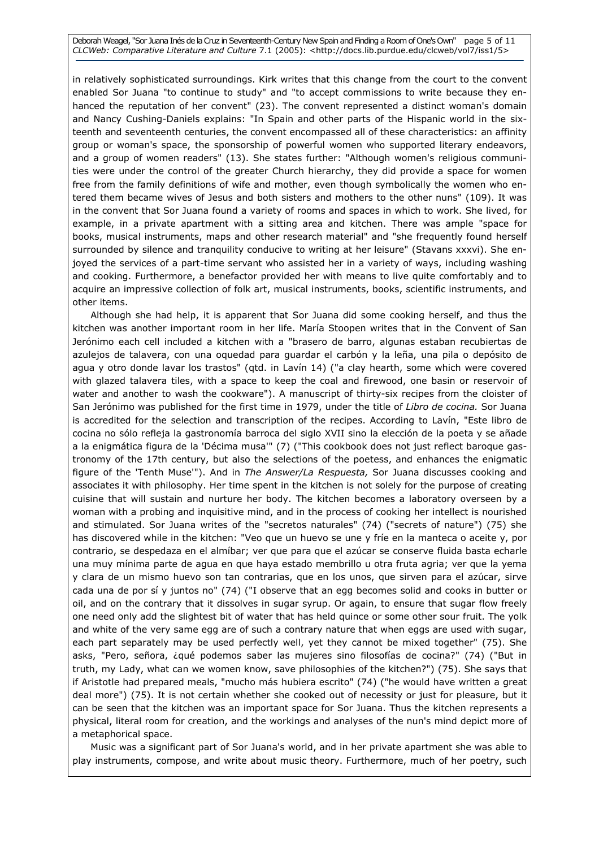Deborah Weagel, "Sor Juana Inés de la Cruz in Seventeenth-Century New Spain and Finding a Room of One's Own" page 5 of 11 CLCWeb: Comparative Literature and Culture 7.1 (2005): <http://docs.lib.purdue.edu/clcweb/vol7/iss1/5>

in relatively sophisticated surroundings. Kirk writes that this change from the court to the convent enabled Sor Juana "to continue to study" and "to accept commissions to write because they enhanced the reputation of her convent" (23). The convent represented a distinct woman's domain and Nancy Cushing-Daniels explains: "In Spain and other parts of the Hispanic world in the sixteenth and seventeenth centuries, the convent encompassed all of these characteristics: an affinity group or woman's space, the sponsorship of powerful women who supported literary endeavors, and a group of women readers" (13). She states further: "Although women's religious communities were under the control of the greater Church hierarchy, they did provide a space for women free from the family definitions of wife and mother, even though symbolically the women who entered them became wives of Jesus and both sisters and mothers to the other nuns" (109). It was in the convent that Sor Juana found a variety of rooms and spaces in which to work. She lived, for example, in a private apartment with a sitting area and kitchen. There was ample "space for books, musical instruments, maps and other research material" and "she frequently found herself surrounded by silence and tranquility conducive to writing at her leisure" (Stavans xxxvi). She enjoyed the services of a part-time servant who assisted her in a variety of ways, including washing and cooking. Furthermore, a benefactor provided her with means to live quite comfortably and to acquire an impressive collection of folk art, musical instruments, books, scientific instruments, and other items.

Although she had help, it is apparent that Sor Juana did some cooking herself, and thus the kitchen was another important room in her life. María Stoopen writes that in the Convent of San Jerónimo each cell included a kitchen with a "brasero de barro, algunas estaban recubiertas de azulejos de talavera, con una oquedad para guardar el carbón y la leña, una pila o depósito de agua y otro donde lavar los trastos" (qtd. in Lavín 14) ("a clay hearth, some which were covered with glazed talavera tiles, with a space to keep the coal and firewood, one basin or reservoir of water and another to wash the cookware"). A manuscript of thirty-six recipes from the cloister of San Jerónimo was published for the first time in 1979, under the title of Libro de cocina. Sor Juana is accredited for the selection and transcription of the recipes. According to Lavín, "Este libro de cocina no sólo refleja la gastronomía barroca del siglo XVII sino la elección de la poeta y se añade a la enigmática figura de la 'Décima musa'" (7) ("This cookbook does not just reflect baroque gastronomy of the 17th century, but also the selections of the poetess, and enhances the enigmatic figure of the 'Tenth Muse'"). And in The Answer/La Respuesta, Sor Juana discusses cooking and associates it with philosophy. Her time spent in the kitchen is not solely for the purpose of creating cuisine that will sustain and nurture her body. The kitchen becomes a laboratory overseen by a woman with a probing and inquisitive mind, and in the process of cooking her intellect is nourished and stimulated. Sor Juana writes of the "secretos naturales" (74) ("secrets of nature") (75) she has discovered while in the kitchen: "Veo que un huevo se une y fríe en la manteca o aceite y, por contrario, se despedaza en el almíbar; ver que para que el azúcar se conserve fluida basta echarle una muy mínima parte de agua en que haya estado membrillo u otra fruta agria; ver que la yema y clara de un mismo huevo son tan contrarias, que en los unos, que sirven para el azúcar, sirve cada una de por sí y juntos no" (74) ("I observe that an egg becomes solid and cooks in butter or oil, and on the contrary that it dissolves in sugar syrup. Or again, to ensure that sugar flow freely one need only add the slightest bit of water that has held quince or some other sour fruit. The yolk and white of the very same egg are of such a contrary nature that when eggs are used with sugar, each part separately may be used perfectly well, yet they cannot be mixed together" (75). She asks, "Pero, señora, ¿qué podemos saber las mujeres sino filosofías de cocina?" (74) ("But in truth, my Lady, what can we women know, save philosophies of the kitchen?") (75). She says that if Aristotle had prepared meals, "mucho más hubiera escrito" (74) ("he would have written a great deal more") (75). It is not certain whether she cooked out of necessity or just for pleasure, but it can be seen that the kitchen was an important space for Sor Juana. Thus the kitchen represents a physical, literal room for creation, and the workings and analyses of the nun's mind depict more of a metaphorical space.

Music was a significant part of Sor Juana's world, and in her private apartment she was able to play instruments, compose, and write about music theory. Furthermore, much of her poetry, such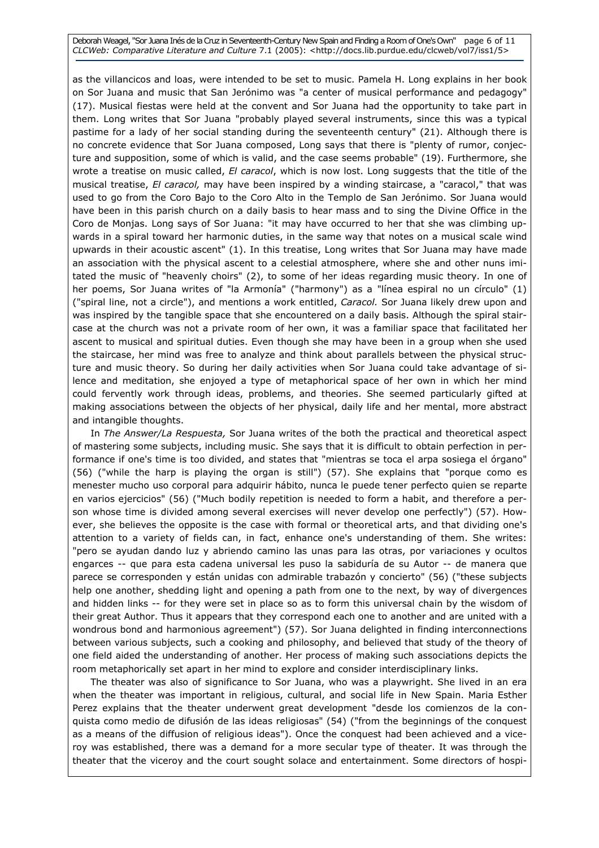Deborah Weagel, "Sor Juana Inés de la Cruz in Seventeenth-Century New Spain and Finding a Room of One's Own" page 6 of 11 CLCWeb: Comparative Literature and Culture 7.1 (2005): <http://docs.lib.purdue.edu/clcweb/vol7/iss1/5>

as the villancicos and loas, were intended to be set to music. Pamela H. Long explains in her book on Sor Juana and music that San Jerónimo was "a center of musical performance and pedagogy" (17). Musical fiestas were held at the convent and Sor Juana had the opportunity to take part in them. Long writes that Sor Juana "probably played several instruments, since this was a typical pastime for a lady of her social standing during the seventeenth century" (21). Although there is no concrete evidence that Sor Juana composed, Long says that there is "plenty of rumor, conjecture and supposition, some of which is valid, and the case seems probable" (19). Furthermore, she wrote a treatise on music called, El caracol, which is now lost. Long suggests that the title of the musical treatise, El caracol, may have been inspired by a winding staircase, a "caracol," that was used to go from the Coro Bajo to the Coro Alto in the Templo de San Jerónimo. Sor Juana would have been in this parish church on a daily basis to hear mass and to sing the Divine Office in the Coro de Monjas. Long says of Sor Juana: "it may have occurred to her that she was climbing upwards in a spiral toward her harmonic duties, in the same way that notes on a musical scale wind upwards in their acoustic ascent" (1). In this treatise, Long writes that Sor Juana may have made an association with the physical ascent to a celestial atmosphere, where she and other nuns imitated the music of "heavenly choirs" (2), to some of her ideas regarding music theory. In one of her poems, Sor Juana writes of "la Armonía" ("harmony") as a "línea espiral no un círculo" (1) ("spiral line, not a circle"), and mentions a work entitled, Caracol. Sor Juana likely drew upon and was inspired by the tangible space that she encountered on a daily basis. Although the spiral staircase at the church was not a private room of her own, it was a familiar space that facilitated her ascent to musical and spiritual duties. Even though she may have been in a group when she used the staircase, her mind was free to analyze and think about parallels between the physical structure and music theory. So during her daily activities when Sor Juana could take advantage of silence and meditation, she enjoyed a type of metaphorical space of her own in which her mind could fervently work through ideas, problems, and theories. She seemed particularly gifted at making associations between the objects of her physical, daily life and her mental, more abstract and intangible thoughts.

In The Answer/La Respuesta, Sor Juana writes of the both the practical and theoretical aspect of mastering some subjects, including music. She says that it is difficult to obtain perfection in performance if one's time is too divided, and states that "mientras se toca el arpa sosiega el órgano" (56) ("while the harp is playing the organ is still") (57). She explains that "porque como es menester mucho uso corporal para adquirir hábito, nunca le puede tener perfecto quien se reparte en varios ejercicios" (56) ("Much bodily repetition is needed to form a habit, and therefore a person whose time is divided among several exercises will never develop one perfectly") (57). However, she believes the opposite is the case with formal or theoretical arts, and that dividing one's attention to a variety of fields can, in fact, enhance one's understanding of them. She writes: "pero se ayudan dando luz y abriendo camino las unas para las otras, por variaciones y ocultos engarces -- que para esta cadena universal les puso la sabiduría de su Autor -- de manera que parece se corresponden y están unidas con admirable trabazón y concierto" (56) ("these subjects help one another, shedding light and opening a path from one to the next, by way of divergences and hidden links -- for they were set in place so as to form this universal chain by the wisdom of their great Author. Thus it appears that they correspond each one to another and are united with a wondrous bond and harmonious agreement") (57). Sor Juana delighted in finding interconnections between various subjects, such a cooking and philosophy, and believed that study of the theory of one field aided the understanding of another. Her process of making such associations depicts the room metaphorically set apart in her mind to explore and consider interdisciplinary links.

The theater was also of significance to Sor Juana, who was a playwright. She lived in an era when the theater was important in religious, cultural, and social life in New Spain. Maria Esther Perez explains that the theater underwent great development "desde los comienzos de la conquista como medio de difusión de las ideas religiosas" (54) ("from the beginnings of the conquest as a means of the diffusion of religious ideas"). Once the conquest had been achieved and a viceroy was established, there was a demand for a more secular type of theater. It was through the theater that the viceroy and the court sought solace and entertainment. Some directors of hospi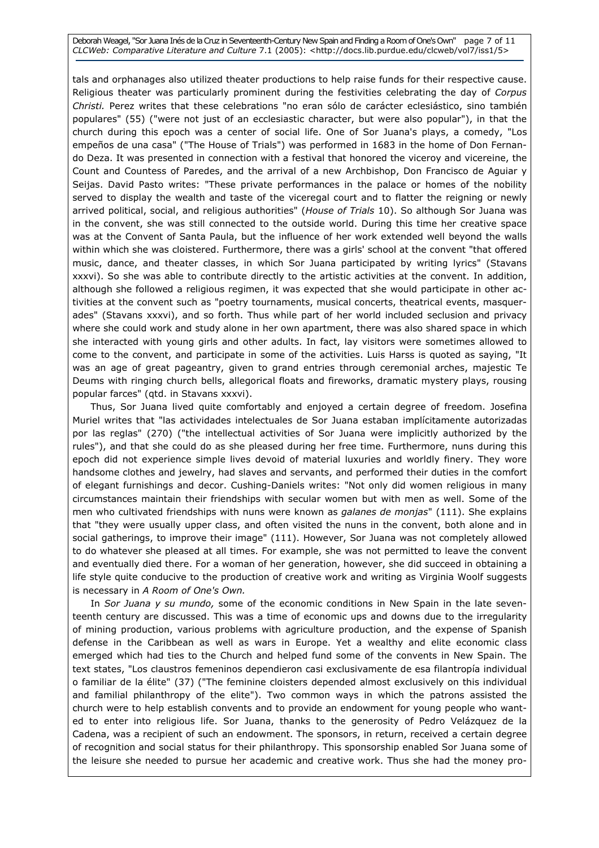Deborah Weagel, "Sor Juana Inés de la Cruz in Seventeenth-Century New Spain and Finding a Room of One's Own" page 7 of 11 CLCWeb: Comparative Literature and Culture 7.1 (2005): <http://docs.lib.purdue.edu/clcweb/vol7/iss1/5>

tals and orphanages also utilized theater productions to help raise funds for their respective cause. Religious theater was particularly prominent during the festivities celebrating the day of Corpus Christi. Perez writes that these celebrations "no eran sólo de carácter eclesiástico, sino también populares" (55) ("were not just of an ecclesiastic character, but were also popular"), in that the church during this epoch was a center of social life. One of Sor Juana's plays, a comedy, "Los empeños de una casa" ("The House of Trials") was performed in 1683 in the home of Don Fernando Deza. It was presented in connection with a festival that honored the viceroy and vicereine, the Count and Countess of Paredes, and the arrival of a new Archbishop, Don Francisco de Aguiar y Seijas. David Pasto writes: "These private performances in the palace or homes of the nobility served to display the wealth and taste of the viceregal court and to flatter the reigning or newly arrived political, social, and religious authorities" (House of Trials 10). So although Sor Juana was in the convent, she was still connected to the outside world. During this time her creative space was at the Convent of Santa Paula, but the influence of her work extended well beyond the walls within which she was cloistered. Furthermore, there was a girls' school at the convent "that offered music, dance, and theater classes, in which Sor Juana participated by writing lyrics" (Stavans xxxvi). So she was able to contribute directly to the artistic activities at the convent. In addition, although she followed a religious regimen, it was expected that she would participate in other activities at the convent such as "poetry tournaments, musical concerts, theatrical events, masquerades" (Stavans xxxvi), and so forth. Thus while part of her world included seclusion and privacy where she could work and study alone in her own apartment, there was also shared space in which she interacted with young girls and other adults. In fact, lay visitors were sometimes allowed to come to the convent, and participate in some of the activities. Luis Harss is quoted as saying, "It was an age of great pageantry, given to grand entries through ceremonial arches, majestic Te Deums with ringing church bells, allegorical floats and fireworks, dramatic mystery plays, rousing popular farces" (qtd. in Stavans xxxvi).

Thus, Sor Juana lived quite comfortably and enjoyed a certain degree of freedom. Josefina Muriel writes that "las actividades intelectuales de Sor Juana estaban implícitamente autorizadas por las reglas" (270) ("the intellectual activities of Sor Juana were implicitly authorized by the rules"), and that she could do as she pleased during her free time. Furthermore, nuns during this epoch did not experience simple lives devoid of material luxuries and worldly finery. They wore handsome clothes and jewelry, had slaves and servants, and performed their duties in the comfort of elegant furnishings and decor. Cushing-Daniels writes: "Not only did women religious in many circumstances maintain their friendships with secular women but with men as well. Some of the men who cultivated friendships with nuns were known as *galanes de monjas*" (111). She explains that "they were usually upper class, and often visited the nuns in the convent, both alone and in social gatherings, to improve their image" (111). However, Sor Juana was not completely allowed to do whatever she pleased at all times. For example, she was not permitted to leave the convent and eventually died there. For a woman of her generation, however, she did succeed in obtaining a life style quite conducive to the production of creative work and writing as Virginia Woolf suggests is necessary in A Room of One's Own.

In Sor Juana y su mundo, some of the economic conditions in New Spain in the late seventeenth century are discussed. This was a time of economic ups and downs due to the irregularity of mining production, various problems with agriculture production, and the expense of Spanish defense in the Caribbean as well as wars in Europe. Yet a wealthy and elite economic class emerged which had ties to the Church and helped fund some of the convents in New Spain. The text states, "Los claustros femeninos dependieron casi exclusivamente de esa filantropía individual o familiar de la élite" (37) ("The feminine cloisters depended almost exclusively on this individual and familial philanthropy of the elite"). Two common ways in which the patrons assisted the church were to help establish convents and to provide an endowment for young people who wanted to enter into religious life. Sor Juana, thanks to the generosity of Pedro Velázquez de la Cadena, was a recipient of such an endowment. The sponsors, in return, received a certain degree of recognition and social status for their philanthropy. This sponsorship enabled Sor Juana some of the leisure she needed to pursue her academic and creative work. Thus she had the money pro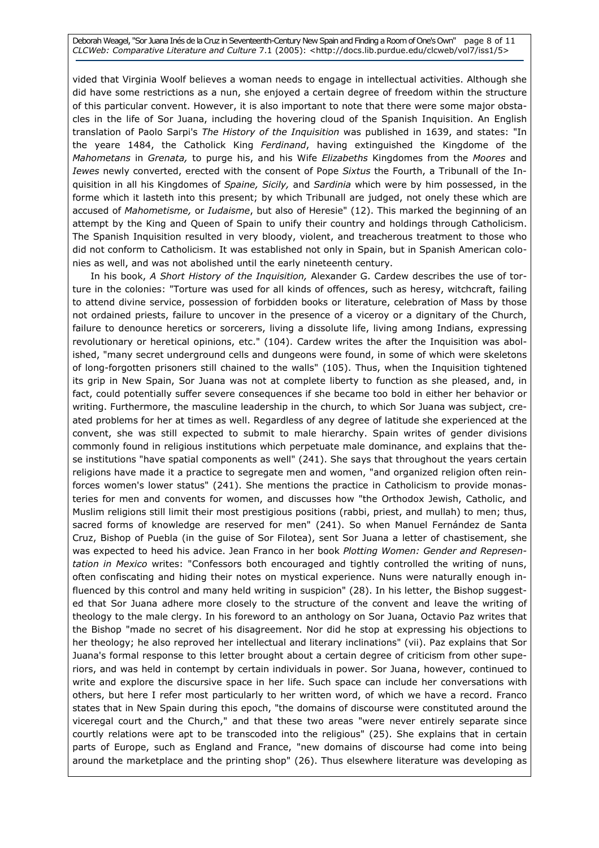Deborah Weagel, "Sor Juana Inés de la Cruz in Seventeenth-Century New Spain and Finding a Room of One's Own" page 8 of 11 CLCWeb: Comparative Literature and Culture 7.1 (2005): <http://docs.lib.purdue.edu/clcweb/vol7/iss1/5>

vided that Virginia Woolf believes a woman needs to engage in intellectual activities. Although she did have some restrictions as a nun, she enjoyed a certain degree of freedom within the structure of this particular convent. However, it is also important to note that there were some major obstacles in the life of Sor Juana, including the hovering cloud of the Spanish Inquisition. An English translation of Paolo Sarpi's The History of the Inquisition was published in 1639, and states: "In the yeare 1484, the Catholick King Ferdinand, having extinguished the Kingdome of the Mahometans in Grenata, to purge his, and his Wife Elizabeths Kingdomes from the Moores and Iewes newly converted, erected with the consent of Pope Sixtus the Fourth, a Tribunall of the Inquisition in all his Kingdomes of Spaine, Sicily, and Sardinia which were by him possessed, in the forme which it lasteth into this present; by which Tribunall are judged, not onely these which are accused of Mahometisme, or Iudaisme, but also of Heresie" (12). This marked the beginning of an attempt by the King and Queen of Spain to unify their country and holdings through Catholicism. The Spanish Inquisition resulted in very bloody, violent, and treacherous treatment to those who did not conform to Catholicism. It was established not only in Spain, but in Spanish American colonies as well, and was not abolished until the early nineteenth century.

In his book, A Short History of the Inquisition, Alexander G. Cardew describes the use of torture in the colonies: "Torture was used for all kinds of offences, such as heresy, witchcraft, failing to attend divine service, possession of forbidden books or literature, celebration of Mass by those not ordained priests, failure to uncover in the presence of a viceroy or a dignitary of the Church, failure to denounce heretics or sorcerers, living a dissolute life, living among Indians, expressing revolutionary or heretical opinions, etc." (104). Cardew writes the after the Inquisition was abolished, "many secret underground cells and dungeons were found, in some of which were skeletons of long-forgotten prisoners still chained to the walls" (105). Thus, when the Inquisition tightened its grip in New Spain, Sor Juana was not at complete liberty to function as she pleased, and, in fact, could potentially suffer severe consequences if she became too bold in either her behavior or writing. Furthermore, the masculine leadership in the church, to which Sor Juana was subject, created problems for her at times as well. Regardless of any degree of latitude she experienced at the convent, she was still expected to submit to male hierarchy. Spain writes of gender divisions commonly found in religious institutions which perpetuate male dominance, and explains that these institutions "have spatial components as well" (241). She says that throughout the years certain religions have made it a practice to segregate men and women, "and organized religion often reinforces women's lower status" (241). She mentions the practice in Catholicism to provide monasteries for men and convents for women, and discusses how "the Orthodox Jewish, Catholic, and Muslim religions still limit their most prestigious positions (rabbi, priest, and mullah) to men; thus, sacred forms of knowledge are reserved for men" (241). So when Manuel Fernández de Santa Cruz, Bishop of Puebla (in the guise of Sor Filotea), sent Sor Juana a letter of chastisement, she was expected to heed his advice. Jean Franco in her book Plotting Women: Gender and Representation in Mexico writes: "Confessors both encouraged and tightly controlled the writing of nuns, often confiscating and hiding their notes on mystical experience. Nuns were naturally enough influenced by this control and many held writing in suspicion" (28). In his letter, the Bishop suggested that Sor Juana adhere more closely to the structure of the convent and leave the writing of theology to the male clergy. In his foreword to an anthology on Sor Juana, Octavio Paz writes that the Bishop "made no secret of his disagreement. Nor did he stop at expressing his objections to her theology; he also reproved her intellectual and literary inclinations" (vii). Paz explains that Sor Juana's formal response to this letter brought about a certain degree of criticism from other superiors, and was held in contempt by certain individuals in power. Sor Juana, however, continued to write and explore the discursive space in her life. Such space can include her conversations with others, but here I refer most particularly to her written word, of which we have a record. Franco states that in New Spain during this epoch, "the domains of discourse were constituted around the viceregal court and the Church," and that these two areas "were never entirely separate since courtly relations were apt to be transcoded into the religious" (25). She explains that in certain parts of Europe, such as England and France, "new domains of discourse had come into being around the marketplace and the printing shop" (26). Thus elsewhere literature was developing as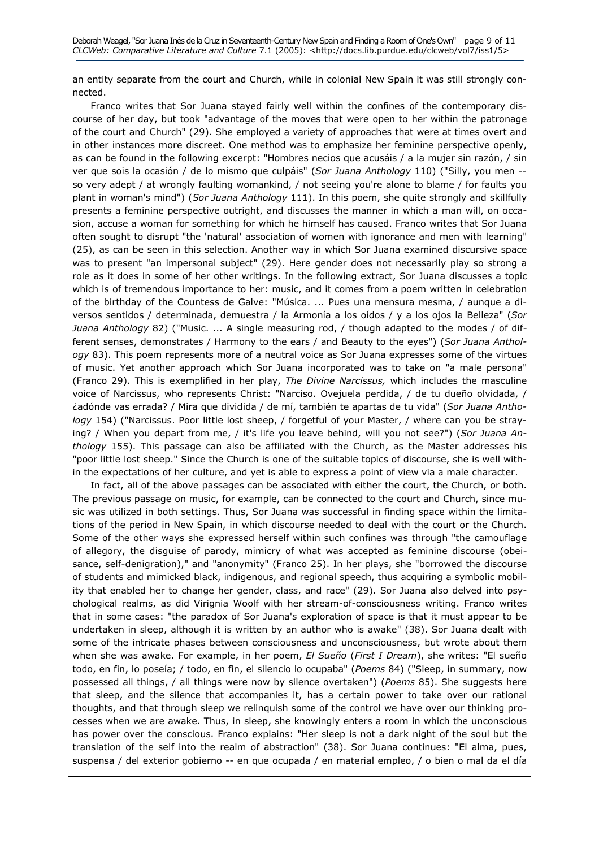an entity separate from the court and Church, while in colonial New Spain it was still strongly connected.

Franco writes that Sor Juana stayed fairly well within the confines of the contemporary discourse of her day, but took "advantage of the moves that were open to her within the patronage of the court and Church" (29). She employed a variety of approaches that were at times overt and in other instances more discreet. One method was to emphasize her feminine perspective openly, as can be found in the following excerpt: "Hombres necios que acusáis / a la mujer sin razón, / sin ver que sois la ocasión / de lo mismo que culpáis" (Sor Juana Anthology 110) ("Silly, you men -so very adept / at wrongly faulting womankind, / not seeing you're alone to blame / for faults you plant in woman's mind") (Sor Juana Anthology 111). In this poem, she quite strongly and skillfully presents a feminine perspective outright, and discusses the manner in which a man will, on occasion, accuse a woman for something for which he himself has caused. Franco writes that Sor Juana often sought to disrupt "the 'natural' association of women with ignorance and men with learning" (25), as can be seen in this selection. Another way in which Sor Juana examined discursive space was to present "an impersonal subject" (29). Here gender does not necessarily play so strong a role as it does in some of her other writings. In the following extract, Sor Juana discusses a topic which is of tremendous importance to her: music, and it comes from a poem written in celebration of the birthday of the Countess de Galve: "Música. ... Pues una mensura mesma, / aunque a diversos sentidos / determinada, demuestra / la Armonía a los oídos / y a los ojos la Belleza" (Sor Juana Anthology 82) ("Music. ... A single measuring rod, / though adapted to the modes / of different senses, demonstrates / Harmony to the ears / and Beauty to the eyes") (Sor Juana Anthology 83). This poem represents more of a neutral voice as Sor Juana expresses some of the virtues of music. Yet another approach which Sor Juana incorporated was to take on "a male persona" (Franco 29). This is exemplified in her play, The Divine Narcissus, which includes the masculine voice of Narcissus, who represents Christ: "Narciso. Ovejuela perdida, / de tu dueño olvidada, / ¿adónde vas errada? / Mira que dividida / de mí, también te apartas de tu vida" (Sor Juana Anthology 154) ("Narcissus. Poor little lost sheep, / forgetful of your Master, / where can you be straying? / When you depart from me, / it's life you leave behind, will you not see?") (Sor Juana Anthology 155). This passage can also be affiliated with the Church, as the Master addresses his "poor little lost sheep." Since the Church is one of the suitable topics of discourse, she is well within the expectations of her culture, and yet is able to express a point of view via a male character.

In fact, all of the above passages can be associated with either the court, the Church, or both. The previous passage on music, for example, can be connected to the court and Church, since music was utilized in both settings. Thus, Sor Juana was successful in finding space within the limitations of the period in New Spain, in which discourse needed to deal with the court or the Church. Some of the other ways she expressed herself within such confines was through "the camouflage of allegory, the disguise of parody, mimicry of what was accepted as feminine discourse (obeisance, self-denigration)," and "anonymity" (Franco 25). In her plays, she "borrowed the discourse of students and mimicked black, indigenous, and regional speech, thus acquiring a symbolic mobility that enabled her to change her gender, class, and race" (29). Sor Juana also delved into psychological realms, as did Virignia Woolf with her stream-of-consciousness writing. Franco writes that in some cases: "the paradox of Sor Juana's exploration of space is that it must appear to be undertaken in sleep, although it is written by an author who is awake" (38). Sor Juana dealt with some of the intricate phases between consciousness and unconsciousness, but wrote about them when she was awake. For example, in her poem, El Sueño (First I Dream), she writes: "El sueño todo, en fin, lo poseía; / todo, en fin, el silencio lo ocupaba" (Poems 84) ("Sleep, in summary, now possessed all things, / all things were now by silence overtaken") (Poems 85). She suggests here that sleep, and the silence that accompanies it, has a certain power to take over our rational thoughts, and that through sleep we relinquish some of the control we have over our thinking processes when we are awake. Thus, in sleep, she knowingly enters a room in which the unconscious has power over the conscious. Franco explains: "Her sleep is not a dark night of the soul but the translation of the self into the realm of abstraction" (38). Sor Juana continues: "El alma, pues, suspensa / del exterior gobierno -- en que ocupada / en material empleo, / o bien o mal da el día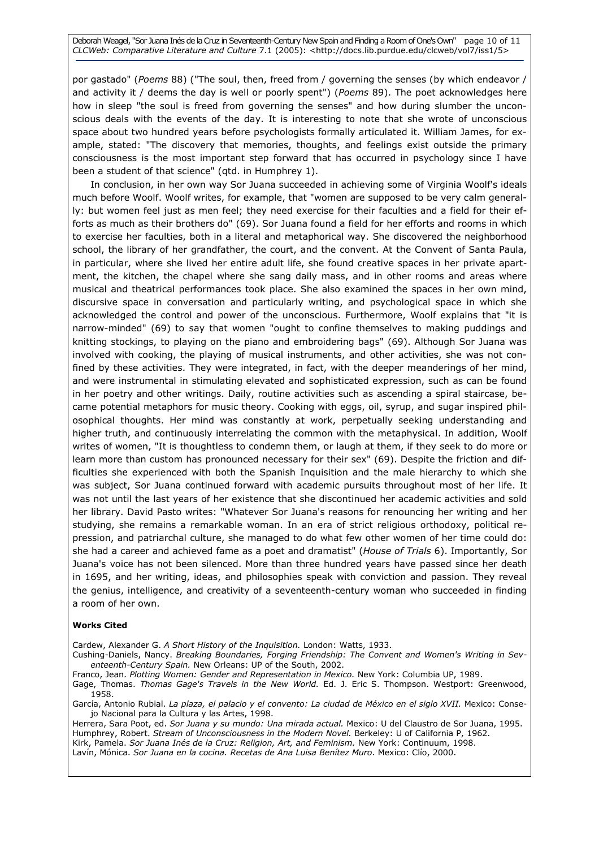Deborah Weagel, "Sor Juana Inés de la Cruz in Seventeenth-Century New Spain and Finding a Room of One's Own" page 10 of 11 CLCWeb: Comparative Literature and Culture 7.1 (2005): <http://docs.lib.purdue.edu/clcweb/vol7/iss1/5>

por gastado" (Poems 88) ("The soul, then, freed from / governing the senses (by which endeavor / and activity it / deems the day is well or poorly spent") (*Poems* 89). The poet acknowledges here how in sleep "the soul is freed from governing the senses" and how during slumber the unconscious deals with the events of the day. It is interesting to note that she wrote of unconscious space about two hundred years before psychologists formally articulated it. William James, for example, stated: "The discovery that memories, thoughts, and feelings exist outside the primary consciousness is the most important step forward that has occurred in psychology since I have been a student of that science" (qtd. in Humphrey 1).

In conclusion, in her own way Sor Juana succeeded in achieving some of Virginia Woolf's ideals much before Woolf. Woolf writes, for example, that "women are supposed to be very calm generally: but women feel just as men feel; they need exercise for their faculties and a field for their efforts as much as their brothers do" (69). Sor Juana found a field for her efforts and rooms in which to exercise her faculties, both in a literal and metaphorical way. She discovered the neighborhood school, the library of her grandfather, the court, and the convent. At the Convent of Santa Paula, in particular, where she lived her entire adult life, she found creative spaces in her private apartment, the kitchen, the chapel where she sang daily mass, and in other rooms and areas where musical and theatrical performances took place. She also examined the spaces in her own mind, discursive space in conversation and particularly writing, and psychological space in which she acknowledged the control and power of the unconscious. Furthermore, Woolf explains that "it is narrow-minded" (69) to say that women "ought to confine themselves to making puddings and knitting stockings, to playing on the piano and embroidering bags" (69). Although Sor Juana was involved with cooking, the playing of musical instruments, and other activities, she was not confined by these activities. They were integrated, in fact, with the deeper meanderings of her mind, and were instrumental in stimulating elevated and sophisticated expression, such as can be found in her poetry and other writings. Daily, routine activities such as ascending a spiral staircase, became potential metaphors for music theory. Cooking with eggs, oil, syrup, and sugar inspired philosophical thoughts. Her mind was constantly at work, perpetually seeking understanding and higher truth, and continuously interrelating the common with the metaphysical. In addition, Woolf writes of women, "It is thoughtless to condemn them, or laugh at them, if they seek to do more or learn more than custom has pronounced necessary for their sex" (69). Despite the friction and difficulties she experienced with both the Spanish Inquisition and the male hierarchy to which she was subject, Sor Juana continued forward with academic pursuits throughout most of her life. It was not until the last years of her existence that she discontinued her academic activities and sold her library. David Pasto writes: "Whatever Sor Juana's reasons for renouncing her writing and her studying, she remains a remarkable woman. In an era of strict religious orthodoxy, political repression, and patriarchal culture, she managed to do what few other women of her time could do: she had a career and achieved fame as a poet and dramatist" (House of Trials 6). Importantly, Sor Juana's voice has not been silenced. More than three hundred years have passed since her death in 1695, and her writing, ideas, and philosophies speak with conviction and passion. They reveal the genius, intelligence, and creativity of a seventeenth-century woman who succeeded in finding a room of her own.

#### Works Cited

Cardew, Alexander G. A Short History of the Inquisition. London: Watts, 1933.

Cushing-Daniels, Nancy. Breaking Boundaries, Forging Friendship: The Convent and Women's Writing in Seventeenth-Century Spain. New Orleans: UP of the South, 2002.

Franco, Jean. Plotting Women: Gender and Representation in Mexico. New York: Columbia UP, 1989.

Gage, Thomas. Thomas Gage's Travels in the New World. Ed. J. Eric S. Thompson. Westport: Greenwood, 1958.

García, Antonio Rubial. La plaza, el palacio y el convento: La ciudad de México en el siglo XVII. Mexico: Consejo Nacional para la Cultura y las Artes, 1998.

Herrera, Sara Poot, ed. Sor Juana y su mundo: Una mirada actual. Mexico: U del Claustro de Sor Juana, 1995. Humphrey, Robert. Stream of Unconsciousness in the Modern Novel. Berkeley: U of California P, 1962. Kirk, Pamela. Sor Juana Inés de la Cruz: Religion, Art, and Feminism. New York: Continuum, 1998. Lavín, Mónica. Sor Juana en la cocina. Recetas de Ana Luisa Benítez Muro. Mexico: Clío, 2000.